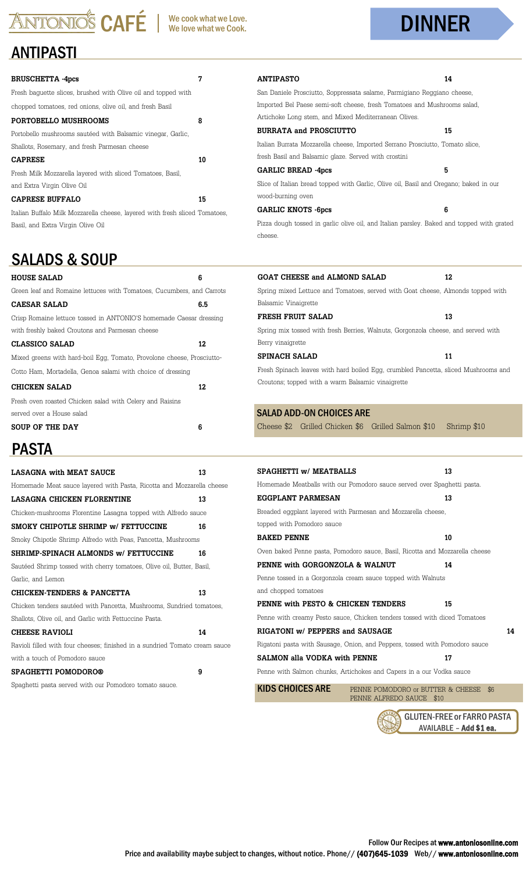# ANTONIOS CAFÉ We cook what we Love.

## DINNER

#### ANTIPASTI

| <b>BRUSCHETTA -4pcs</b>                                                     | 7  |
|-----------------------------------------------------------------------------|----|
| Fresh baguette slices, brushed with Olive oil and topped with               |    |
| chopped tomatoes, red onions, olive oil, and fresh Basil                    |    |
| PORTOBELLO MUSHROOMS                                                        | 8  |
| Portobello mushrooms sautéed with Balsamic vinegar, Garlic,                 |    |
| Shallots, Rosemary, and fresh Parmesan cheese                               |    |
| <b>CAPRESE</b>                                                              | 10 |
| Fresh Milk Mozzarella layered with sliced Tomatoes, Basil,                  |    |
| and Extra Virgin Olive Oil                                                  |    |
| <b>CAPRESE BUFFALO</b>                                                      | 15 |
| Italian Buffalo Milk Mozzarella cheese, lavered with fresh sliced Tomatoes, |    |
| Basil, and Extra Virgin Olive Oil                                           |    |

### SALADS & SOUP

| <b>HOUSE SALAD</b>                                                     | 6   |
|------------------------------------------------------------------------|-----|
| Green leaf and Romaine lettuces with Tomatoes, Cucumbers, and Carrots  |     |
| CAESAR SALAD                                                           | 6.5 |
| Crisp Romaine lettuce tossed in ANTONIO'S homemade Caesar dressing     |     |
| with freshly baked Croutons and Parmesan cheese                        |     |
| CLASSICO SALAD                                                         | 12  |
| Mixed greens with hard-boil Egg, Tomato, Provolone cheese, Prosciutto- |     |
| Cotto Ham, Mortadella, Genoa salami with choice of dressing            |     |
| <b>CHICKEN SALAD</b>                                                   | 12  |
| Fresh oven roasted Chicken salad with Celery and Raisins               |     |
| served over a House salad                                              |     |
| SOUP OF THE DAY                                                        | 6   |
|                                                                        |     |

## PASTA

| <b>LASAGNA with MEAT SAUCE</b>                                              | 13 |
|-----------------------------------------------------------------------------|----|
| Homemade Meat sauce layered with Pasta, Ricotta and Mozzarella cheese       |    |
| LASAGNA CHICKEN FLORENTINE                                                  | 13 |
| Chicken-mushrooms Florentine Lasagna topped with Alfredo sauce              |    |
| SMOKY CHIPOTLE SHRIMP w/ FETTUCCINE                                         | 16 |
| Smoky Chipotle Shrimp Alfredo with Peas, Pancetta, Mushrooms                |    |
| SHRIMP-SPINACH ALMONDS w/ FETTUCCINE                                        | 16 |
| Sautéed Shrimp tossed with cherry tomatoes, Olive oil, Butter, Basil,       |    |
| Garlic, and Lemon                                                           |    |
| CHICKEN-TENDERS & PANCETTA                                                  | 13 |
| Chicken tenders sautéed with Pancetta, Mushrooms, Sundried tomatoes,        |    |
| Shallots, Olive oil, and Garlic with Fettuccine Pasta.                      |    |
|                                                                             |    |
| <b>CHEESE RAVIOLI</b>                                                       | 14 |
| Ravioli filled with four cheeses; finished in a sundried Tomato cream sauce |    |
| with a touch of Pomodoro sauce                                              |    |
| <b>SPAGHETTI POMODORO®</b>                                                  | 9  |

| <b>ANTIPASTO</b>                                                                                                                        | 14          |
|-----------------------------------------------------------------------------------------------------------------------------------------|-------------|
| San Daniele Prosciutto, Soppressata salame, Parmigiano Reggiano cheese,                                                                 |             |
| Imported Bel Paese semi-soft cheese, fresh Tomatoes and Mushrooms salad,                                                                |             |
| Artichoke Long stem, and Mixed Mediterranean Olives.                                                                                    |             |
| <b>BURRATA and PROSCIUTTO</b>                                                                                                           | 15          |
| Italian Burrata Mozzarella cheese, Imported Serrano Prosciutto, Tomato slice,                                                           |             |
| fresh Basil and Balsamic glaze. Served with crostini                                                                                    |             |
| <b>GARLIC BREAD -4pcs</b>                                                                                                               | 5           |
| Slice of Italian bread topped with Garlic, Olive oil, Basil and Oregano; baked in our<br>wood-burning oven                              |             |
| <b>GARLIC KNOTS -6pcs</b>                                                                                                               | 6           |
| Pizza dough tossed in garlic olive oil, and Italian parsley. Baked and topped with grated<br>cheese.                                    |             |
| <b>GOAT CHEESE and ALMOND SALAD</b>                                                                                                     | 12          |
| Spring mixed Lettuce and Tomatoes, served with Goat cheese, Almonds topped with                                                         |             |
| Balsamic Vinaigrette                                                                                                                    |             |
| FRESH FRUIT SALAD                                                                                                                       | 13          |
| Spring mix tossed with fresh Berries, Walnuts, Gorgonzola cheese, and served with<br>Berry vinaigrette                                  |             |
| SPINACH SALAD                                                                                                                           | 11          |
| Fresh Spinach leaves with hard boiled Egg, crumbled Pancetta, sliced Mushrooms and<br>Croutons; topped with a warm Balsamic vinaigrette |             |
| <b>SALAD ADD-ON CHOICES ARE</b>                                                                                                         |             |
| Cheese \$2 Grilled Chicken \$6 Grilled Salmon \$10                                                                                      | Shrimp \$10 |
|                                                                                                                                         |             |
| SPAGHETTI w/ MEATBALLS                                                                                                                  | 13          |
| Homemade Meatballs with our Pomodoro sauce served over Spaghetti pasta.                                                                 |             |
| <b>EGGPLANT PARMESAN</b>                                                                                                                | 13          |
| Breaded eggplant layered with Parmesan and Mozzarella cheese,                                                                           |             |
| topped with Pomodoro sauce                                                                                                              |             |
| <b>BAKED PENNE</b>                                                                                                                      | 10          |
| Oven baked Penne pasta, Pomodoro sauce, Basil, Ricotta and Mozzarella cheese                                                            |             |
| PENNE with GORGONZOLA & WALNUT                                                                                                          | 14          |
| Penne tossed in a Gorgonzola cream sauce topped with Walnuts                                                                            |             |
|                                                                                                                                         |             |

## and chopped tomatoes

| PENNE with PESTO & CHICKEN TENDERS                                          | 15 |  |
|-----------------------------------------------------------------------------|----|--|
| Penne with creamy Pesto sauce, Chicken tenders tossed with diced Tomatoes   |    |  |
| RIGATONI w/ PEPPERS and SAUSAGE                                             | 14 |  |
| Rigatoni pasta with Sausage, Onion, and Peppers, tossed with Pomodoro sauce |    |  |
| SALMON alla VODKA with PENNE                                                | 17 |  |
|                                                                             |    |  |

Penne with Salmon chunks, Artichokes and Capers in a our Vodka sauce

KIDS CHOICES ARE PENNE POMODORO OF BUTTER & CHEESE \$6 PENNE ALFREDO SAUCE \$10

> GLUTEN-FREE or FARRO PASTA AVAILABLE – Add \$1 ea.